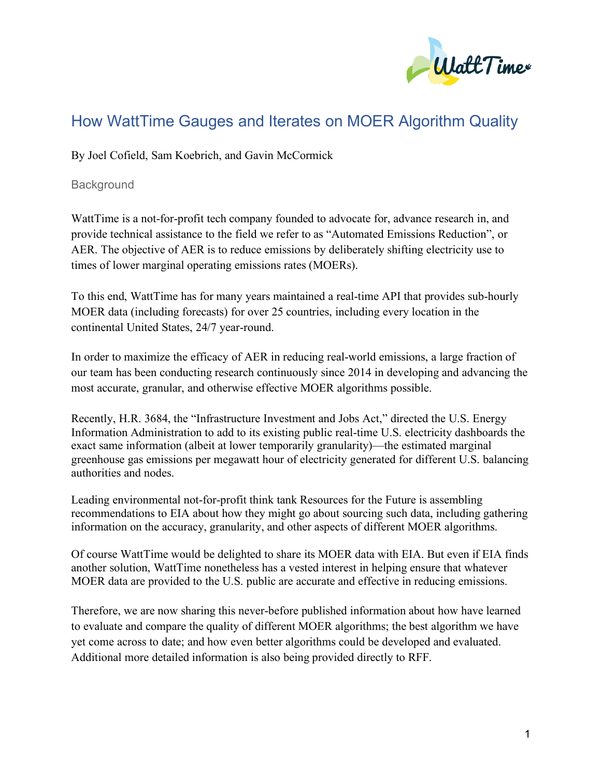

# How WattTime Gauges and Iterates on MOER Algorithm Quality

By Joel Cofield, Sam Koebrich, and Gavin McCormick

**Background** 

WattTime is a not-for-profit tech company founded to advocate for, advance research in, and provide technical assistance to the field we refer to as "Automated Emissions Reduction", or AER. The objective of AER is to reduce emissions by deliberately shifting electricity use to times of lower marginal operating emissions rates (MOERs).

To this end, WattTime has for many years maintained a real-time API that provides sub-hourly MOER data (including forecasts) for over 25 countries, including every location in the continental United States, 24/7 year-round.

In order to maximize the efficacy of AER in reducing real-world emissions, a large fraction of our team has been conducting research continuously since 2014 in developing and advancing the most accurate, granular, and otherwise effective MOER algorithms possible.

Recently, H.R. 3684, the "Infrastructure Investment and Jobs Act," directed the U.S. Energy Information Administration to add to its existing public real-time U.S. electricity dashboards the exact same information (albeit at lower temporarily granularity)—the estimated marginal greenhouse gas emissions per megawatt hour of electricity generated for different U.S. balancing authorities and nodes.

Leading environmental not-for-profit think tank Resources for the Future is assembling recommendations to EIA about how they might go about sourcing such data, including gathering information on the accuracy, granularity, and other aspects of different MOER algorithms.

Of course WattTime would be delighted to share its MOER data with EIA. But even if EIA finds another solution, WattTime nonetheless has a vested interest in helping ensure that whatever MOER data are provided to the U.S. public are accurate and effective in reducing emissions.

Therefore, we are now sharing this never-before published information about how have learned to evaluate and compare the quality of different MOER algorithms; the best algorithm we have yet come across to date; and how even better algorithms could be developed and evaluated. Additional more detailed information is also being provided directly to RFF.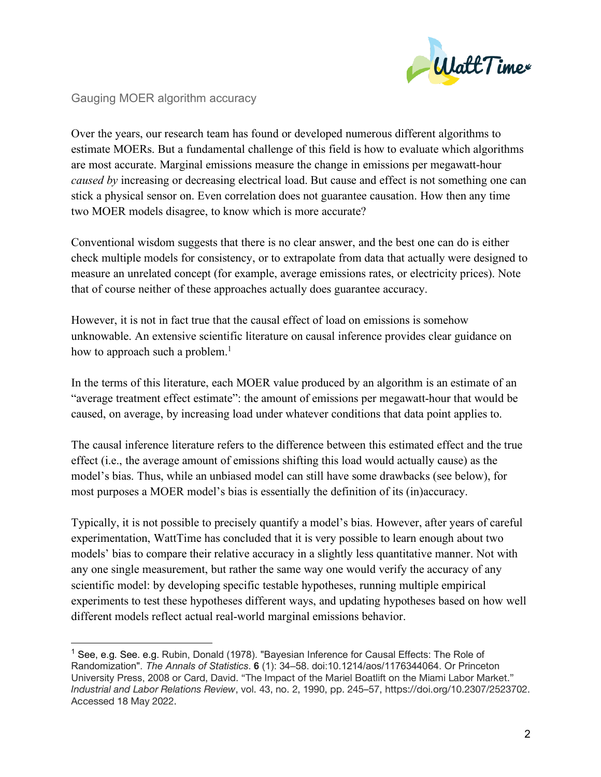

#### Gauging MOER algorithm accuracy

Over the years, our research team has found or developed numerous different algorithms to estimate MOERs. But a fundamental challenge of this field is how to evaluate which algorithms are most accurate. Marginal emissions measure the change in emissions per megawatt-hour *caused by* increasing or decreasing electrical load. But cause and effect is not something one can stick a physical sensor on. Even correlation does not guarantee causation. How then any time two MOER models disagree, to know which is more accurate?

Conventional wisdom suggests that there is no clear answer, and the best one can do is either check multiple models for consistency, or to extrapolate from data that actually were designed to measure an unrelated concept (for example, average emissions rates, or electricity prices). Note that of course neither of these approaches actually does guarantee accuracy.

However, it is not in fact true that the causal effect of load on emissions is somehow unknowable. An extensive scientific literature on causal inference provides clear guidance on how to approach such a problem.<sup>1</sup>

In the terms of this literature, each MOER value produced by an algorithm is an estimate of an "average treatment effect estimate": the amount of emissions per megawatt-hour that would be caused, on average, by increasing load under whatever conditions that data point applies to.

The causal inference literature refers to the difference between this estimated effect and the true effect (i.e., the average amount of emissions shifting this load would actually cause) as the model's bias. Thus, while an unbiased model can still have some drawbacks (see below), for most purposes a MOER model's bias is essentially the definition of its (in)accuracy.

Typically, it is not possible to precisely quantify a model's bias. However, after years of careful experimentation, WattTime has concluded that it is very possible to learn enough about two models' bias to compare their relative accuracy in a slightly less quantitative manner. Not with any one single measurement, but rather the same way one would verify the accuracy of any scientific model: by developing specific testable hypotheses, running multiple empirical experiments to test these hypotheses different ways, and updating hypotheses based on how well different models reflect actual real-world marginal emissions behavior.

<sup>&</sup>lt;sup>1</sup> See, e.g. See. e.g. Rubin, Donald (1978). "Bayesian Inference for Causal Effects: The Role of Randomization". *The Annals of Statistics*. **6** (1): 34–58. doi:10.1214/aos/1176344064. Or Princeton University Press, 2008 or Card, David. "The Impact of the Mariel Boatlift on the Miami Labor Market." *Industrial and Labor Relations Review*, vol. 43, no. 2, 1990, pp. 245–57, https://doi.org/10.2307/2523702. Accessed 18 May 2022.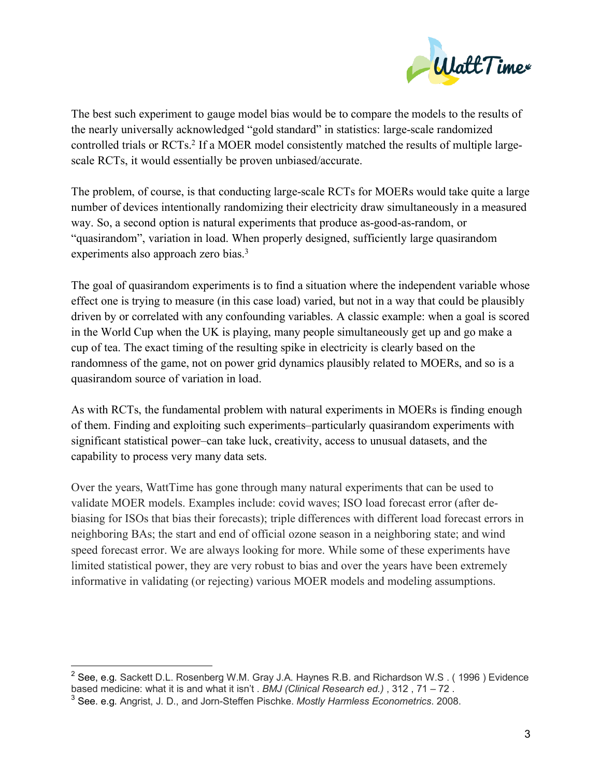

The best such experiment to gauge model bias would be to compare the models to the results of the nearly universally acknowledged "gold standard" in statistics: large-scale randomized controlled trials or RCTs.<sup>2</sup> If a MOER model consistently matched the results of multiple largescale RCTs, it would essentially be proven unbiased/accurate.

The problem, of course, is that conducting large-scale RCTs for MOERs would take quite a large number of devices intentionally randomizing their electricity draw simultaneously in a measured way. So, a second option is natural experiments that produce as-good-as-random, or "quasirandom", variation in load. When properly designed, sufficiently large quasirandom experiments also approach zero bias.<sup>3</sup>

The goal of quasirandom experiments is to find a situation where the independent variable whose effect one is trying to measure (in this case load) varied, but not in a way that could be plausibly driven by or correlated with any confounding variables. A classic example: when a goal is scored in the World Cup when the UK is playing, many people simultaneously get up and go make a cup of tea. The exact timing of the resulting spike in electricity is clearly based on the randomness of the game, not on power grid dynamics plausibly related to MOERs, and so is a quasirandom source of variation in load.

As with RCTs, the fundamental problem with natural experiments in MOERs is finding enough of them. Finding and exploiting such experiments–particularly quasirandom experiments with significant statistical power–can take luck, creativity, access to unusual datasets, and the capability to process very many data sets.

Over the years, WattTime has gone through many natural experiments that can be used to validate MOER models. Examples include: covid waves; ISO load forecast error (after debiasing for ISOs that bias their forecasts); triple differences with different load forecast errors in neighboring BAs; the start and end of official ozone season in a neighboring state; and wind speed forecast error. We are always looking for more. While some of these experiments have limited statistical power, they are very robust to bias and over the years have been extremely informative in validating (or rejecting) various MOER models and modeling assumptions.

<sup>&</sup>lt;sup>2</sup> See, e.g. Sackett D.L. Rosenberg W.M. Gray J.A. Haynes R.B. and Richardson W.S. (1996) Evidence based medicine: what it is and what it isn't . *BMJ (Clinical Research ed.)* , 312 , 71 – 72 .

<sup>3</sup> See. e.g. Angrist, J. D., and Jorn-Steffen Pischke. *Mostly Harmless Econometrics*. 2008.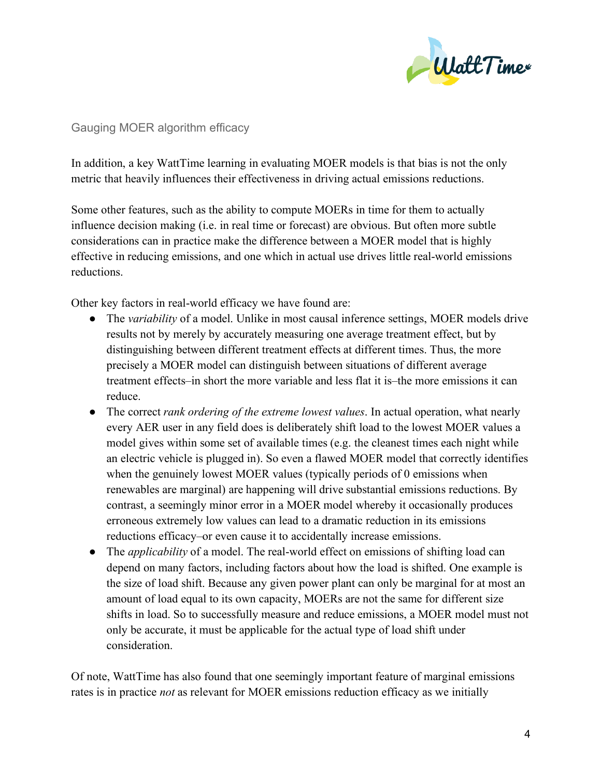

#### Gauging MOER algorithm efficacy

In addition, a key WattTime learning in evaluating MOER models is that bias is not the only metric that heavily influences their effectiveness in driving actual emissions reductions.

Some other features, such as the ability to compute MOERs in time for them to actually influence decision making (i.e. in real time or forecast) are obvious. But often more subtle considerations can in practice make the difference between a MOER model that is highly effective in reducing emissions, and one which in actual use drives little real-world emissions reductions.

Other key factors in real-world efficacy we have found are:

- The *variability* of a model. Unlike in most causal inference settings, MOER models drive results not by merely by accurately measuring one average treatment effect, but by distinguishing between different treatment effects at different times. Thus, the more precisely a MOER model can distinguish between situations of different average treatment effects–in short the more variable and less flat it is–the more emissions it can reduce.
- The correct *rank ordering of the extreme lowest values*. In actual operation, what nearly every AER user in any field does is deliberately shift load to the lowest MOER values a model gives within some set of available times (e.g. the cleanest times each night while an electric vehicle is plugged in). So even a flawed MOER model that correctly identifies when the genuinely lowest MOER values (typically periods of 0 emissions when renewables are marginal) are happening will drive substantial emissions reductions. By contrast, a seemingly minor error in a MOER model whereby it occasionally produces erroneous extremely low values can lead to a dramatic reduction in its emissions reductions efficacy–or even cause it to accidentally increase emissions.
- The *applicability* of a model. The real-world effect on emissions of shifting load can depend on many factors, including factors about how the load is shifted. One example is the size of load shift. Because any given power plant can only be marginal for at most an amount of load equal to its own capacity, MOERs are not the same for different size shifts in load. So to successfully measure and reduce emissions, a MOER model must not only be accurate, it must be applicable for the actual type of load shift under consideration.

Of note, WattTime has also found that one seemingly important feature of marginal emissions rates is in practice *not* as relevant for MOER emissions reduction efficacy as we initially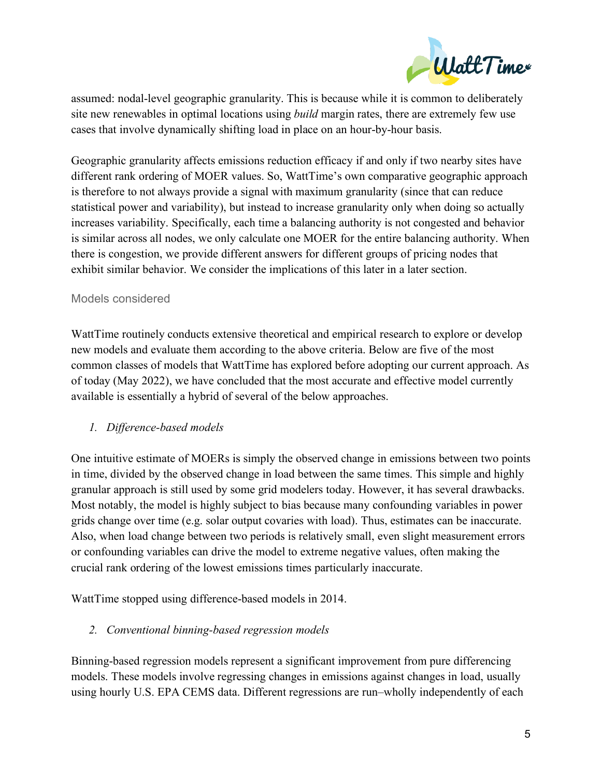

assumed: nodal-level geographic granularity. This is because while it is common to deliberately site new renewables in optimal locations using *build* margin rates, there are extremely few use cases that involve dynamically shifting load in place on an hour-by-hour basis.

Geographic granularity affects emissions reduction efficacy if and only if two nearby sites have different rank ordering of MOER values. So, WattTime's own comparative geographic approach is therefore to not always provide a signal with maximum granularity (since that can reduce statistical power and variability), but instead to increase granularity only when doing so actually increases variability. Specifically, each time a balancing authority is not congested and behavior is similar across all nodes, we only calculate one MOER for the entire balancing authority. When there is congestion, we provide different answers for different groups of pricing nodes that exhibit similar behavior. We consider the implications of this later in a later section.

## Models considered

WattTime routinely conducts extensive theoretical and empirical research to explore or develop new models and evaluate them according to the above criteria. Below are five of the most common classes of models that WattTime has explored before adopting our current approach. As of today (May 2022), we have concluded that the most accurate and effective model currently available is essentially a hybrid of several of the below approaches.

# *1. Difference-based models*

One intuitive estimate of MOERs is simply the observed change in emissions between two points in time, divided by the observed change in load between the same times. This simple and highly granular approach is still used by some grid modelers today. However, it has several drawbacks. Most notably, the model is highly subject to bias because many confounding variables in power grids change over time (e.g. solar output covaries with load). Thus, estimates can be inaccurate. Also, when load change between two periods is relatively small, even slight measurement errors or confounding variables can drive the model to extreme negative values, often making the crucial rank ordering of the lowest emissions times particularly inaccurate.

WattTime stopped using difference-based models in 2014.

# *2. Conventional binning-based regression models*

Binning-based regression models represent a significant improvement from pure differencing models. These models involve regressing changes in emissions against changes in load, usually using hourly U.S. EPA CEMS data. Different regressions are run–wholly independently of each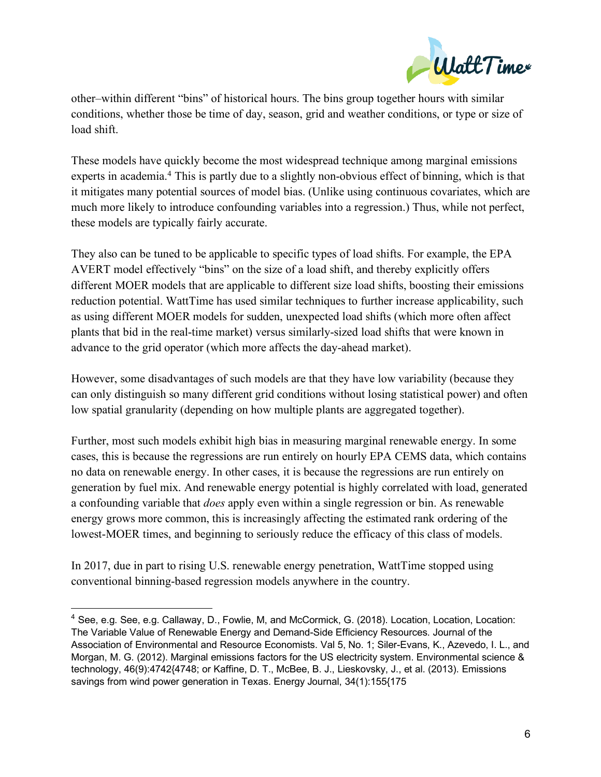

other–within different "bins" of historical hours. The bins group together hours with similar conditions, whether those be time of day, season, grid and weather conditions, or type or size of load shift.

These models have quickly become the most widespread technique among marginal emissions experts in academia.<sup>4</sup> This is partly due to a slightly non-obvious effect of binning, which is that it mitigates many potential sources of model bias. (Unlike using continuous covariates, which are much more likely to introduce confounding variables into a regression.) Thus, while not perfect, these models are typically fairly accurate.

They also can be tuned to be applicable to specific types of load shifts. For example, the EPA AVERT model effectively "bins" on the size of a load shift, and thereby explicitly offers different MOER models that are applicable to different size load shifts, boosting their emissions reduction potential. WattTime has used similar techniques to further increase applicability, such as using different MOER models for sudden, unexpected load shifts (which more often affect plants that bid in the real-time market) versus similarly-sized load shifts that were known in advance to the grid operator (which more affects the day-ahead market).

However, some disadvantages of such models are that they have low variability (because they can only distinguish so many different grid conditions without losing statistical power) and often low spatial granularity (depending on how multiple plants are aggregated together).

Further, most such models exhibit high bias in measuring marginal renewable energy. In some cases, this is because the regressions are run entirely on hourly EPA CEMS data, which contains no data on renewable energy. In other cases, it is because the regressions are run entirely on generation by fuel mix. And renewable energy potential is highly correlated with load, generated a confounding variable that *does* apply even within a single regression or bin. As renewable energy grows more common, this is increasingly affecting the estimated rank ordering of the lowest-MOER times, and beginning to seriously reduce the efficacy of this class of models.

In 2017, due in part to rising U.S. renewable energy penetration, WattTime stopped using conventional binning-based regression models anywhere in the country.

 <sup>4</sup> See, e.g. See, e.g. Callaway, D., Fowlie, M, and McCormick, G. (2018). Location, Location, Location: The Variable Value of Renewable Energy and Demand-Side Efficiency Resources. Journal of the Association of Environmental and Resource Economists. Val 5, No. 1; Siler-Evans, K., Azevedo, I. L., and Morgan, M. G. (2012). Marginal emissions factors for the US electricity system. Environmental science & technology, 46(9):4742{4748; or Kaffine, D. T., McBee, B. J., Lieskovsky, J., et al. (2013). Emissions savings from wind power generation in Texas. Energy Journal, 34(1):155{175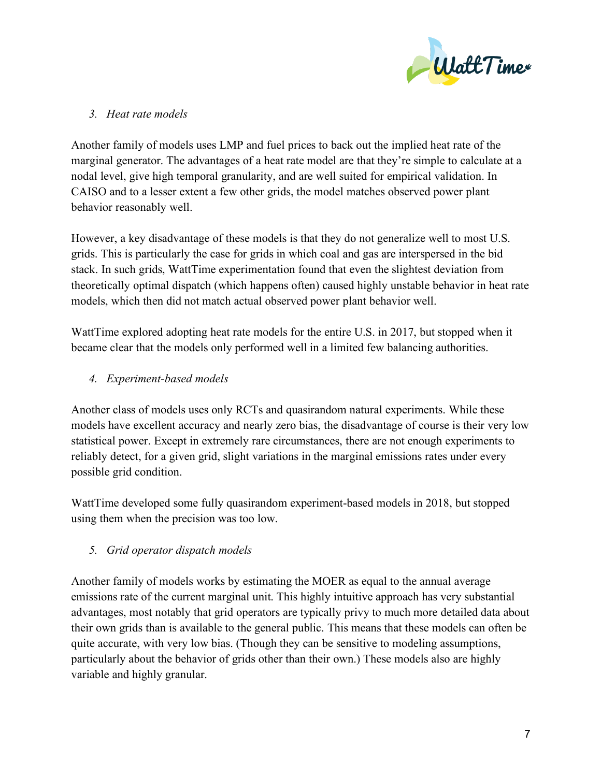

# *3. Heat rate models*

Another family of models uses LMP and fuel prices to back out the implied heat rate of the marginal generator. The advantages of a heat rate model are that they're simple to calculate at a nodal level, give high temporal granularity, and are well suited for empirical validation. In CAISO and to a lesser extent a few other grids, the model matches observed power plant behavior reasonably well.

However, a key disadvantage of these models is that they do not generalize well to most U.S. grids. This is particularly the case for grids in which coal and gas are interspersed in the bid stack. In such grids, WattTime experimentation found that even the slightest deviation from theoretically optimal dispatch (which happens often) caused highly unstable behavior in heat rate models, which then did not match actual observed power plant behavior well.

WattTime explored adopting heat rate models for the entire U.S. in 2017, but stopped when it became clear that the models only performed well in a limited few balancing authorities.

# *4. Experiment-based models*

Another class of models uses only RCTs and quasirandom natural experiments. While these models have excellent accuracy and nearly zero bias, the disadvantage of course is their very low statistical power. Except in extremely rare circumstances, there are not enough experiments to reliably detect, for a given grid, slight variations in the marginal emissions rates under every possible grid condition.

WattTime developed some fully quasirandom experiment-based models in 2018, but stopped using them when the precision was too low.

# *5. Grid operator dispatch models*

Another family of models works by estimating the MOER as equal to the annual average emissions rate of the current marginal unit. This highly intuitive approach has very substantial advantages, most notably that grid operators are typically privy to much more detailed data about their own grids than is available to the general public. This means that these models can often be quite accurate, with very low bias. (Though they can be sensitive to modeling assumptions, particularly about the behavior of grids other than their own.) These models also are highly variable and highly granular.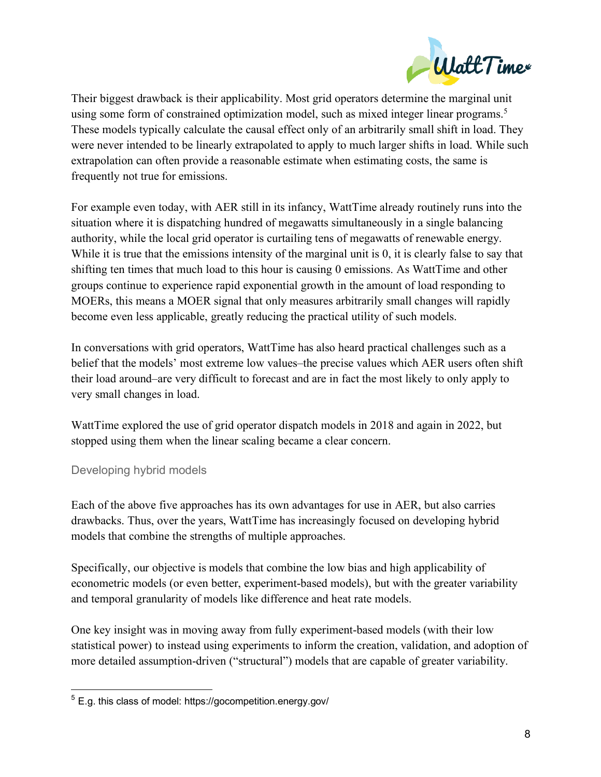

Their biggest drawback is their applicability. Most grid operators determine the marginal unit using some form of constrained optimization model, such as mixed integer linear programs.<sup>5</sup> These models typically calculate the causal effect only of an arbitrarily small shift in load. They were never intended to be linearly extrapolated to apply to much larger shifts in load. While such extrapolation can often provide a reasonable estimate when estimating costs, the same is frequently not true for emissions.

For example even today, with AER still in its infancy, WattTime already routinely runs into the situation where it is dispatching hundred of megawatts simultaneously in a single balancing authority, while the local grid operator is curtailing tens of megawatts of renewable energy. While it is true that the emissions intensity of the marginal unit is 0, it is clearly false to say that shifting ten times that much load to this hour is causing 0 emissions. As WattTime and other groups continue to experience rapid exponential growth in the amount of load responding to MOERs, this means a MOER signal that only measures arbitrarily small changes will rapidly become even less applicable, greatly reducing the practical utility of such models.

In conversations with grid operators, WattTime has also heard practical challenges such as a belief that the models' most extreme low values–the precise values which AER users often shift their load around–are very difficult to forecast and are in fact the most likely to only apply to very small changes in load.

WattTime explored the use of grid operator dispatch models in 2018 and again in 2022, but stopped using them when the linear scaling became a clear concern.

# Developing hybrid models

Each of the above five approaches has its own advantages for use in AER, but also carries drawbacks. Thus, over the years, WattTime has increasingly focused on developing hybrid models that combine the strengths of multiple approaches.

Specifically, our objective is models that combine the low bias and high applicability of econometric models (or even better, experiment-based models), but with the greater variability and temporal granularity of models like difference and heat rate models.

One key insight was in moving away from fully experiment-based models (with their low statistical power) to instead using experiments to inform the creation, validation, and adoption of more detailed assumption-driven ("structural") models that are capable of greater variability.

 <sup>5</sup> E.g. this class of model: https://gocompetition.energy.gov/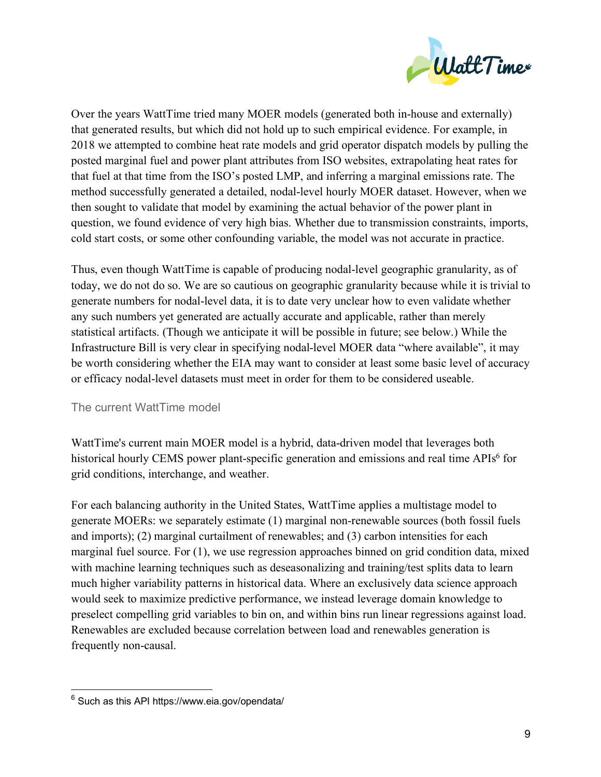

Over the years WattTime tried many MOER models (generated both in-house and externally) that generated results, but which did not hold up to such empirical evidence. For example, in 2018 we attempted to combine heat rate models and grid operator dispatch models by pulling the posted marginal fuel and power plant attributes from ISO websites, extrapolating heat rates for that fuel at that time from the ISO's posted LMP, and inferring a marginal emissions rate. The method successfully generated a detailed, nodal-level hourly MOER dataset. However, when we then sought to validate that model by examining the actual behavior of the power plant in question, we found evidence of very high bias. Whether due to transmission constraints, imports, cold start costs, or some other confounding variable, the model was not accurate in practice.

Thus, even though WattTime is capable of producing nodal-level geographic granularity, as of today, we do not do so. We are so cautious on geographic granularity because while it is trivial to generate numbers for nodal-level data, it is to date very unclear how to even validate whether any such numbers yet generated are actually accurate and applicable, rather than merely statistical artifacts. (Though we anticipate it will be possible in future; see below.) While the Infrastructure Bill is very clear in specifying nodal-level MOER data "where available", it may be worth considering whether the EIA may want to consider at least some basic level of accuracy or efficacy nodal-level datasets must meet in order for them to be considered useable.

### The current WattTime model

WattTime's current main MOER model is a hybrid, data-driven model that leverages both historical hourly CEMS power plant-specific generation and emissions and real time APIs<sup>6</sup> for grid conditions, interchange, and weather.

For each balancing authority in the United States, WattTime applies a multistage model to generate MOERs: we separately estimate (1) marginal non-renewable sources (both fossil fuels and imports); (2) marginal curtailment of renewables; and (3) carbon intensities for each marginal fuel source. For (1), we use regression approaches binned on grid condition data, mixed with machine learning techniques such as deseasonalizing and training/test splits data to learn much higher variability patterns in historical data. Where an exclusively data science approach would seek to maximize predictive performance, we instead leverage domain knowledge to preselect compelling grid variables to bin on, and within bins run linear regressions against load. Renewables are excluded because correlation between load and renewables generation is frequently non-causal.

 $6$  Such as this API https://www.eia.gov/opendata/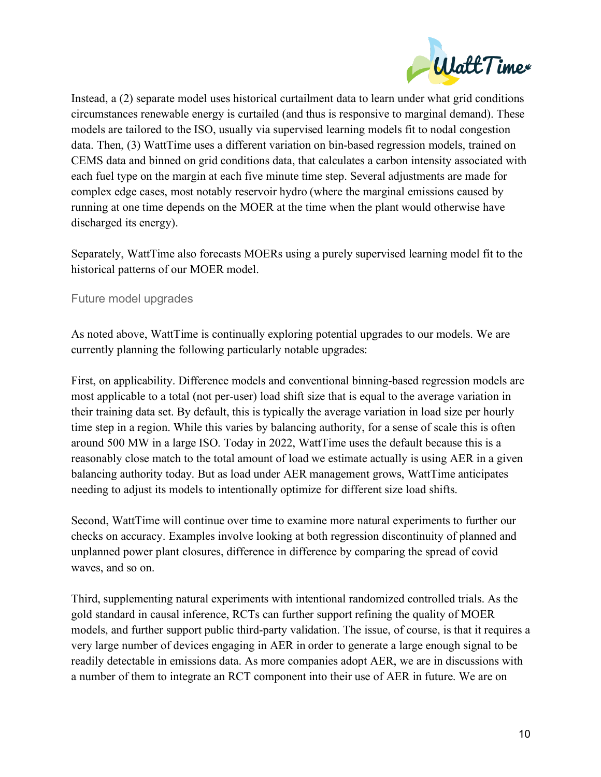

Instead, a (2) separate model uses historical curtailment data to learn under what grid conditions circumstances renewable energy is curtailed (and thus is responsive to marginal demand). These models are tailored to the ISO, usually via supervised learning models fit to nodal congestion data. Then, (3) WattTime uses a different variation on bin-based regression models, trained on CEMS data and binned on grid conditions data, that calculates a carbon intensity associated with each fuel type on the margin at each five minute time step. Several adjustments are made for complex edge cases, most notably reservoir hydro (where the marginal emissions caused by running at one time depends on the MOER at the time when the plant would otherwise have discharged its energy).

Separately, WattTime also forecasts MOERs using a purely supervised learning model fit to the historical patterns of our MOER model.

## Future model upgrades

As noted above, WattTime is continually exploring potential upgrades to our models. We are currently planning the following particularly notable upgrades:

First, on applicability. Difference models and conventional binning-based regression models are most applicable to a total (not per-user) load shift size that is equal to the average variation in their training data set. By default, this is typically the average variation in load size per hourly time step in a region. While this varies by balancing authority, for a sense of scale this is often around 500 MW in a large ISO. Today in 2022, WattTime uses the default because this is a reasonably close match to the total amount of load we estimate actually is using AER in a given balancing authority today. But as load under AER management grows, WattTime anticipates needing to adjust its models to intentionally optimize for different size load shifts.

Second, WattTime will continue over time to examine more natural experiments to further our checks on accuracy. Examples involve looking at both regression discontinuity of planned and unplanned power plant closures, difference in difference by comparing the spread of covid waves, and so on.

Third, supplementing natural experiments with intentional randomized controlled trials. As the gold standard in causal inference, RCTs can further support refining the quality of MOER models, and further support public third-party validation. The issue, of course, is that it requires a very large number of devices engaging in AER in order to generate a large enough signal to be readily detectable in emissions data. As more companies adopt AER, we are in discussions with a number of them to integrate an RCT component into their use of AER in future. We are on